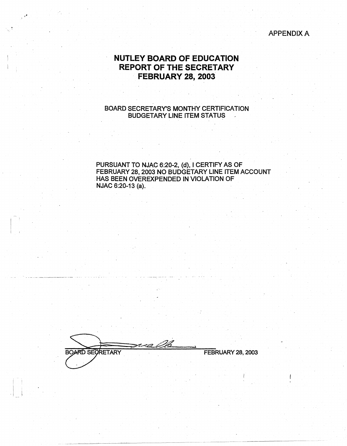### APPENDIX A

# **NUTLEY BOARD OF EDUCATION REPORT OF THE SECRETARY FEBRUARY 28, 2003**

#### BOARD SECRETARY'S MONTHY CERTIFICATION BUDGETARY LINE ITEM STATUS

PURSUANT TO NJAC 6:20-2, (d), I CERTIFY AS OF FEBRUARY 28, 2003 NO BUDGETARY LINE ITEM ACCOUNT HAS BEEN OVEREXPENDED IN VIOLATION OF NJAC 6:20-13 (a).

**BOARD SECRETARY** FEBRUARY 28, 2003

i ! i  $\frac{1}{2}$   $\frac{1}{2}$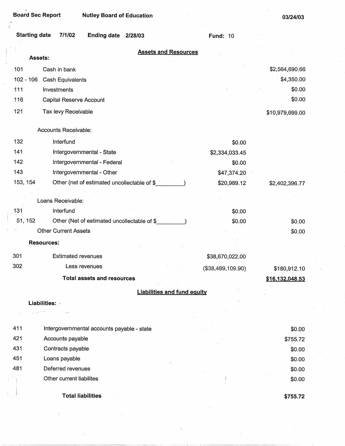| <b>Starting date</b><br>7/1/02<br>Ending date 2/28/03   | <b>Fund: 10</b>   |                  |
|---------------------------------------------------------|-------------------|------------------|
| <b>Assets and Resources</b><br>Assets:                  |                   |                  |
| 101<br>Cash in bank                                     |                   | \$2,564,690.66   |
| $102 - 106$<br>Cash Equivalents                         |                   | \$4,350.00       |
| 111<br>Investments                                      |                   | \$0.00           |
| 116<br>Capital Reserve Account                          |                   | \$0.00           |
| 121                                                     |                   |                  |
| Tax levy Receivable                                     |                   | \$10,979,699.00  |
| Accounts Receivable:                                    |                   |                  |
| 132<br>Interfund                                        | \$0.00            |                  |
| 141<br>Intergovernmental - State                        | \$2,334,033.45    |                  |
| 142<br>Intergovernmental - Federal                      | \$0.00            |                  |
| 143<br>Intergovernmental - Other                        | \$47,374.20       |                  |
| 153, 154<br>Other (net of estimated uncollectable of \$ | \$20,989.12       | \$2,402,396.77   |
| Loans Receivable:                                       |                   |                  |
| 131<br>Interfund                                        | \$0.00            |                  |
| 51, 152<br>Other (Net of estimated uncollectable of \$  | \$0.00            | \$0.00           |
| <b>Other Current Assets</b>                             |                   | \$0.00           |
| <b>Resources:</b>                                       |                   |                  |
| 301<br><b>Estimated revenues</b>                        | \$38,670,022.00   |                  |
| 302<br>Less revenues                                    | (\$38,489,109.90) | \$180,912.10     |
| Total assets and resources                              |                   | \$16,132,048.53  |
| <b>Liabilities and fund equity</b>                      |                   |                  |
| Liabilities:                                            |                   |                  |
|                                                         |                   |                  |
|                                                         |                   |                  |
| 411<br>Intergovernmental accounts payable - state       |                   | \$0.00           |
| 421<br>Accounts payable                                 |                   | \$755.72         |
| 431<br>Contracts payable<br>451                         |                   | \$0.00           |
| Loans payable<br>481<br>Deferred revenues               |                   | \$0.00           |
| Other current liabilites                                |                   | \$0.00<br>\$0.00 |
|                                                         |                   |                  |
| <b>Total liabilities</b>                                |                   | \$755.72         |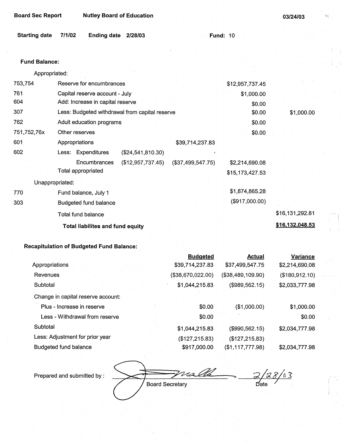| <b>Board Sec Report</b> |        | <b>Nutley Board of Education</b> |  |  |                 |  | 03/24/03 |
|-------------------------|--------|----------------------------------|--|--|-----------------|--|----------|
|                         |        |                                  |  |  |                 |  |          |
| <b>Starting date</b>    | 7/1/02 | Ending date 2/28/03              |  |  | <b>Fund: 10</b> |  |          |

.. , , .•

#### **Fund Balance:**

Appropriated:

| 753,754     | Reserve for encumbrances                       |                   |                   | \$12,957,737.45 |                 |
|-------------|------------------------------------------------|-------------------|-------------------|-----------------|-----------------|
| 761         | Capital reserve account - July                 |                   |                   | \$1,000.00      |                 |
| 604         | Add: Increase in capital reserve               |                   |                   | \$0.00          |                 |
| 307         | Less: Budgeted withdrawal from capital reserve |                   |                   | \$0.00          | \$1,000.00      |
| 762         | Adult education programs                       |                   |                   | \$0.00          |                 |
| 751,752,76x | Other reserves                                 |                   |                   | \$0.00          |                 |
| 601         | Appropriations                                 |                   | \$39,714,237.83   |                 |                 |
| 602         | Less: Expenditures                             | (\$24,541,810.30) |                   |                 |                 |
|             | Encumbrances                                   | (\$12,957,737.45) | (\$37,499,547.75) | \$2,214,690.08  |                 |
|             | Total appropriated                             |                   |                   | \$15,173,427.53 |                 |
|             | Unappropriated:                                |                   |                   |                 |                 |
| 770         | Fund balance, July 1                           |                   |                   | \$1,874,865.28  |                 |
| 303         | <b>Budgeted fund balance</b>                   |                   |                   | (\$917,000.00)  |                 |
|             | Total fund balance                             |                   |                   |                 | \$16,131,292.81 |
|             | Total liabilites and fund equity               |                   |                   |                 | \$16,132,048.53 |
|             |                                                |                   |                   |                 |                 |

### **Recapitulation of Budgeted Fund Balance:** .

|                                    | <b>Budgeted</b>   | <b>Actual</b>     | Variance       |
|------------------------------------|-------------------|-------------------|----------------|
| Appropriations                     | \$39,714,237.83   | \$37,499,547.75   | \$2,214,690.08 |
| Revenues                           | (\$38,670,022.00) | (\$38,489,109.90) | (\$180,912.10) |
| Subtotal                           | \$1,044,215.83    | (\$989,562.15)    | \$2,033,777.98 |
| Change in capital reserve account: |                   |                   |                |
| Plus - Increase in reserve         | \$0.00            | (\$1,000.00)      | \$1,000.00     |
| Less - Withdrawal from reserve     | \$0.00            |                   | \$0.00         |
| Subtotal                           | \$1,044,215.83    | (\$990,562.15)    | \$2,034,777.98 |
| Less: Adjustment for prior year    | (\$127,215.83)    | (\$127, 215.83)   |                |
| Budgeted fund balance              | \$917,000.00      | (\$1,117,777.98)  | \$2,034,777.98 |

 $\frac{2}{2}/28/63$ Ma **Board Secretary** 

Prepared and submitted by :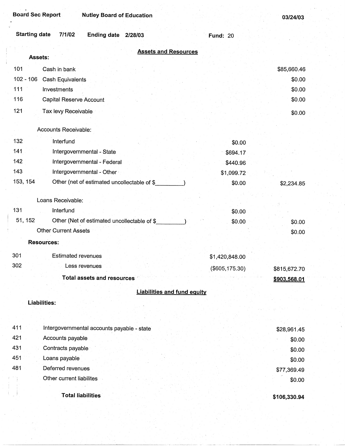Board Sec Report **Nutley Board of Education** 

**03/24/03** 

| <b>Starting date</b><br>7/1/02<br>Ending date 2/28/03   | <b>Fund: 20</b> |              |
|---------------------------------------------------------|-----------------|--------------|
| <b>Assets and Resources</b><br>Assets:                  |                 |              |
| 101<br>Cash in bank                                     |                 | \$85,660.46  |
| $102 - 106$<br><b>Cash Equivalents</b>                  |                 | \$0.00       |
| 111<br>Investments                                      |                 | \$0.00       |
| 116<br><b>Capital Reserve Account</b>                   |                 | \$0.00       |
| 121<br>Tax levy Receivable                              |                 | \$0.00       |
| Accounts Receivable:                                    |                 |              |
| 132<br>Interfund                                        | \$0.00          |              |
| 141<br>Intergovernmental - State                        | \$694.17        |              |
| 142<br>Intergovernmental - Federal                      | \$440.96        |              |
| 143<br>Intergovernmental - Other                        | \$1,099.72      |              |
| 153, 154<br>Other (net of estimated uncollectable of \$ | \$0.00          | \$2,234.85   |
| Loans Receivable:                                       |                 |              |
| 131<br>Interfund                                        | \$0.00          |              |
| 51, 152<br>Other (Net of estimated uncollectable of \$  | \$0.00          | \$0.00       |
| <b>Other Current Assets</b>                             |                 | \$0.00       |
| <b>Resources:</b>                                       |                 |              |
| 301<br><b>Estimated revenues</b>                        | \$1,420,848.00  |              |
| 302<br>Less revenues                                    | (\$605,175.30)  | \$815,672.70 |
| <b>Total assets and resources</b>                       |                 | \$903,568.01 |
| <b>Liabilities and fund equity</b>                      |                 |              |
| Liabilities:                                            |                 |              |
|                                                         |                 |              |
| 411<br>Intergovernmental accounts payable - state       |                 | \$28,961.45  |
| 421<br>Accounts payable                                 |                 | \$0.00       |
| 431<br>Contracts payable                                |                 | \$0.00       |
| 451<br>Loans payable                                    |                 | \$0.00       |
| 481<br>Deferred revenues                                |                 | \$77,369.49  |
| Other current liabilites                                |                 | \$0.00       |
|                                                         |                 |              |
| <b>Total liabilities</b>                                |                 | \$106,330.94 |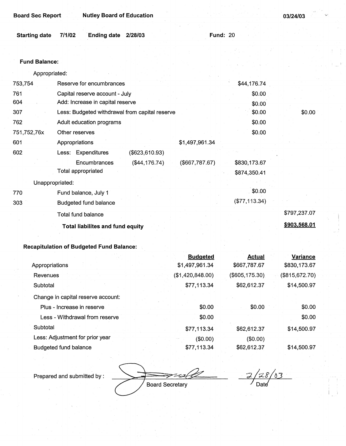|  | <b>Board Sec Report</b> | <b>Nutley</b> |
|--|-------------------------|---------------|
|  |                         |               |

**Board of Education** 

|  | Starting date 7/1/02 Ending date 2/28/03 |  | <b>Fund: 20</b> |
|--|------------------------------------------|--|-----------------|
|  |                                          |  |                 |

#### **Fund Balance:**

Appropriated:

| 753,754         | Reserve for encumbrances                       |                | \$44,176.74   |              |
|-----------------|------------------------------------------------|----------------|---------------|--------------|
| 761             | Capital reserve account - July                 |                | \$0.00        |              |
| 604             | Add: Increase in capital reserve               |                | \$0.00        |              |
| 307             | Less: Budgeted withdrawal from capital reserve |                | \$0.00        | \$0.00       |
| 762             | Adult education programs                       |                | \$0.00        |              |
| 751,752,76x     | Other reserves                                 |                | \$0.00        |              |
| 601             | Appropriations                                 | \$1,497,961.34 |               |              |
| 602             | Less: Expenditures<br>(\$623,610.93)           |                |               |              |
|                 | Encumbrances<br>(\$44,176.74)                  | (\$667,787.67) | \$830,173.67  |              |
|                 | Total appropriated                             |                | \$874,350.41  |              |
| Unappropriated: |                                                |                |               |              |
| 770             | Fund balance, July 1                           |                | \$0.00        |              |
| 303             | Budgeted fund balance                          |                | (\$77,113.34) |              |
|                 | Total fund balance                             |                |               | \$797,237.07 |
|                 | <b>Total liabilites and fund equity</b>        |                |               | \$903,568.01 |

### **Recapitulation of Budgeted Fund Balance:**

|                                    | <b>Budgeted</b>  | <b>Actual</b>    | <b>Variance</b> |
|------------------------------------|------------------|------------------|-----------------|
| Appropriations                     | \$1,497,961.34   | \$667,787.67     | \$830,173.67    |
| Revenues                           | (\$1,420,848.00) | $(\$605,175.30)$ | (\$815,672.70)  |
| Subtotal                           | \$77,113.34      | \$62,612.37      | \$14,500.97     |
| Change in capital reserve account: |                  |                  |                 |
| Plus - Increase in reserve         | \$0.00           | \$0.00           | \$0.00          |
| Less - Withdrawal from reserve     | \$0.00           |                  | \$0.00          |
| Subtotal                           | \$77,113.34      | \$62,612.37      | \$14,500.97     |
| Less: Adjustment for prior year    | (\$0.00)         | (\$0.00)         |                 |
| <b>Budgeted fund balance</b>       | \$77,113.34      | \$62,612.37      | \$14,500.97     |

Prepared and submitted by :

Flar Board Secretary

 $28/03$  $\overline{z}$ Date

**03/24/03**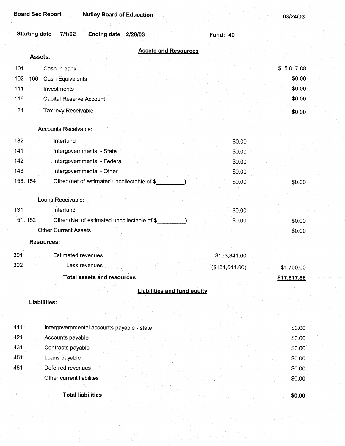| <b>Board Sec Report</b><br><b>Nutley Board of Education</b>     |                 | 03/24/03    |
|-----------------------------------------------------------------|-----------------|-------------|
| <b>Starting date</b><br>7/1/02<br><b>Ending date</b><br>2/28/03 | <b>Fund: 40</b> |             |
| <b>Assets and Resources</b><br>Assets:                          |                 |             |
| 101<br>Cash in bank                                             |                 | \$15,817.88 |
| $102 - 106$<br><b>Cash Equivalents</b>                          |                 | \$0.00      |
| 111<br>Investments                                              |                 | \$0.00      |
| 116<br>Capital Reserve Account                                  |                 | \$0.00      |
| 121                                                             |                 |             |
| Tax levy Receivable                                             |                 | \$0.00      |
| Accounts Receivable:                                            |                 |             |
| 132<br>Interfund                                                | \$0.00          |             |
| 141<br>Intergovernmental - State                                | \$0.00          |             |
| 142<br>Intergovernmental - Federal                              | \$0.00          |             |
| 143<br>Intergovernmental - Other                                | \$0.00          |             |
| 153, 154<br>Other (net of estimated uncollectable of \$         | \$0.00          | \$0.00      |
|                                                                 |                 |             |
| Loans Receivable:                                               |                 |             |
| 131<br>Interfund                                                | \$0.00          |             |
| 51, 152<br>Other (Net of estimated uncollectable of \$          | \$0.00          | \$0.00      |
| <b>Other Current Assets</b>                                     |                 | \$0.00      |
| <b>Resources:</b>                                               |                 |             |
| 301<br><b>Estimated revenues</b>                                | \$153,341.00    |             |
| 302<br>Less revenues                                            | (\$151, 641.00) | \$1,700.00  |
| <b>Total assets and resources</b>                               |                 | \$17,517.88 |
| <b>Liabilities and fund equity</b>                              |                 |             |
| <b>Liabilities:</b>                                             |                 |             |
|                                                                 |                 |             |
|                                                                 |                 |             |
| 411<br>Intergovernmental accounts payable - state               |                 | \$0.00      |
| 421<br>Accounts payable                                         |                 | \$0.00      |
| 431<br>Contracts payable                                        |                 | \$0.00      |
| 451<br>Loans payable                                            |                 | \$0.00      |
| 481<br>Deferred revenues                                        |                 | \$0.00      |
| Other current liabilites                                        |                 | \$0.00      |
| <b>Total liabilities</b>                                        |                 | \$0.00      |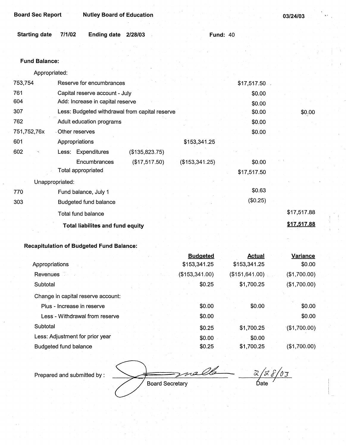| 03/24/03 |  |
|----------|--|

| Starting date 7/1/02 | Ending date 2/28/03 |  | Fund: $40$ |
|----------------------|---------------------|--|------------|
|                      |                     |  |            |

#### **Fund Balance:**

Appropriated:

| 753,754         | Reserve for encumbrances                       |                |                | \$17,517.50 |             |
|-----------------|------------------------------------------------|----------------|----------------|-------------|-------------|
| 761             | Capital reserve account - July                 | \$0.00         |                |             |             |
| 604             | Add: Increase in capital reserve               |                |                | \$0.00      |             |
| 307             | Less: Budgeted withdrawal from capital reserve |                |                | \$0.00      | \$0.00      |
| 762             | Adult education programs                       |                |                | \$0.00      |             |
| 751,752,76x     | - Other reserves                               |                |                | \$0.00      |             |
| 601             | Appropriations                                 |                | \$153,341.25   |             |             |
| 602<br>Ô,       | Less: Expenditures                             | (\$135,823.75) |                |             |             |
|                 | Encumbrances                                   | (\$17,517.50)  | (\$153,341.25) | \$0.00      |             |
|                 | Total appropriated                             |                |                | \$17,517.50 |             |
| Unappropriated: |                                                |                |                |             |             |
| 770             | Fund balance, July 1                           |                |                | \$0.63      |             |
| 303             | <b>Budgeted fund balance</b>                   |                |                | (\$0.25)    |             |
|                 | Total fund balance                             |                |                |             | \$17,517.88 |
|                 | <b>Total liabilites and fund equity</b>        |                |                |             | \$17,517.88 |

# **Recapitulation of Budgeted Fund Balance:**

|                                    |  | <b>Budgeted</b>   | <b>Actual</b>   | Variance     |
|------------------------------------|--|-------------------|-----------------|--------------|
| Appropriations                     |  | \$153,341.25      | \$153,341.25    | \$0.00       |
| Revenues                           |  | $($ \$153,341.00) | (\$151, 641.00) | (\$1,700.00) |
| Subtotal                           |  | \$0.25            | \$1,700.25      | (\$1,700.00) |
| Change in capital reserve account: |  |                   |                 |              |
| Plus - Increase in reserve         |  | \$0.00            | \$0.00          | \$0.00       |
| Less - Withdrawal from reserve     |  | \$0.00            |                 | \$0.00       |
| Subtotal                           |  | \$0.25            | \$1,700.25      | (\$1,700.00) |
| Less: Adjustment for prior year    |  | \$0.00            | \$0.00          |              |
| <b>Budgeted fund balance</b>       |  | \$0.25            | \$1,700.25      | (\$1,700.00) |

Prepared and submitted by:

 $\frac{2a}{b}$   $\frac{2b}{b}$   $\frac{2}{b}$   $\frac{2}{b}$   $\frac{2}{b}$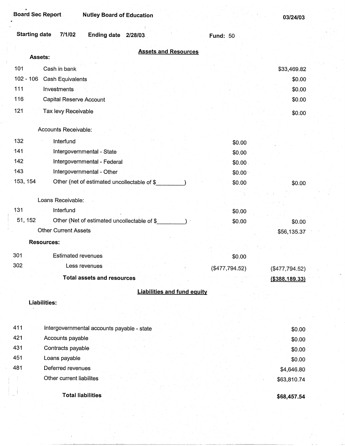| <b>Board Sec Report</b><br><b>Nutley Board of Education</b>                           |                 | 03/24/03          |
|---------------------------------------------------------------------------------------|-----------------|-------------------|
| <b>Starting date</b><br>7/1/02<br><b>Ending date</b><br>2/28/03                       | <b>Fund: 50</b> |                   |
| <b>Assets and Resources</b>                                                           |                 |                   |
| Assets:                                                                               |                 |                   |
| 101<br>Cash in bank                                                                   |                 | \$33,469.82       |
| $102 - 106$<br><b>Cash Equivalents</b>                                                |                 | \$0.00            |
| 111<br>Investments                                                                    |                 | \$0.00            |
| 116<br>Capital Reserve Account                                                        |                 | \$0.00            |
| 121<br>Tax levy Receivable                                                            |                 | \$0.00            |
| Accounts Receivable:                                                                  |                 |                   |
| 132<br>Interfund                                                                      | \$0.00          |                   |
| 141<br>Intergovernmental - State                                                      | \$0.00          |                   |
| 142<br>Intergovernmental - Federal                                                    | \$0.00          |                   |
| 143<br>Intergovernmental - Other                                                      | \$0.00          |                   |
| 153, 154<br>Other (net of estimated uncollectable of \$                               | \$0.00          | \$0.00            |
|                                                                                       |                 |                   |
| Loans Receivable:                                                                     |                 |                   |
| 131<br>Interfund                                                                      | \$0.00          |                   |
| 51, 152<br>Other (Net of estimated uncollectable of \$<br><b>Other Current Assets</b> | \$0.00          | \$0.00            |
|                                                                                       |                 | \$56,135.37       |
| <b>Resources:</b>                                                                     |                 |                   |
| 301<br><b>Estimated revenues</b>                                                      | \$0.00          |                   |
| 302<br>Less revenues                                                                  | (\$477,794.52)  | (\$477,794.52)    |
| <b>Total assets and resources</b>                                                     |                 | $($ \$388,189.33) |
| <b>Liabilities and fund equity</b>                                                    |                 |                   |
| <b>Liabilities:</b>                                                                   |                 |                   |
|                                                                                       |                 |                   |
| 411<br>Intergovernmental accounts payable - state                                     |                 | \$0.00            |
| 421<br>Accounts payable                                                               |                 | \$0.00            |
| 431<br>Contracts payable                                                              |                 | \$0.00            |
| 451<br>Loans payable                                                                  |                 | \$0.00            |
| 481<br>Deferred revenues                                                              |                 | \$4,646.80        |
| Other current liabilites                                                              |                 | \$63,810.74       |
| <b>Total liabilities</b>                                                              |                 |                   |
|                                                                                       |                 | \$68,457.54       |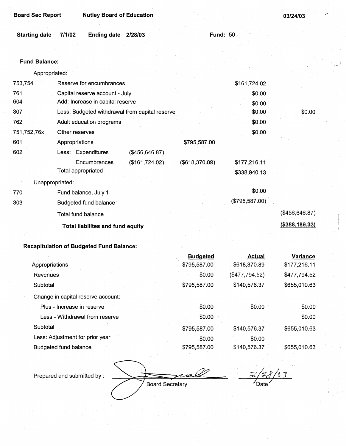| <b>Board Sec Report</b> | <b>Nutley Board of Education</b>                |                  |                | 03/24/03         |
|-------------------------|-------------------------------------------------|------------------|----------------|------------------|
| <b>Starting date</b>    | 7/1/02<br><b>Ending date</b><br>2/28/03         | <b>Fund: 50</b>  |                |                  |
|                         |                                                 |                  |                |                  |
| <b>Fund Balance:</b>    |                                                 |                  |                |                  |
| Appropriated:           |                                                 |                  |                |                  |
| 753,754                 | Reserve for encumbrances                        |                  | \$161,724.02   |                  |
| 761                     | Capital reserve account - July                  |                  | \$0.00         |                  |
| 604                     | Add: Increase in capital reserve                |                  | \$0.00         |                  |
| 307                     | Less: Budgeted withdrawal from capital reserve  |                  | \$0.00         | \$0.00           |
| 762                     | Adult education programs                        |                  | \$0.00         |                  |
| 751,752,76x             | Other reserves                                  |                  | \$0.00         |                  |
| 601                     | Appropriations                                  | \$795,587.00     |                |                  |
| 602                     | Less: Expenditures<br>(\$456,646.87)            |                  |                |                  |
|                         | Encumbrances<br>(\$161,724.02)                  | ( \$618, 370.89) | \$177,216.11   |                  |
|                         | <b>Total appropriated</b>                       |                  | \$338,940.13   |                  |
| Unappropriated:         |                                                 |                  |                |                  |
| 770                     | Fund balance, July 1                            |                  | \$0.00         |                  |
| 303                     | <b>Budgeted fund balance</b>                    |                  | (\$795,587.00) |                  |
|                         | Total fund balance                              |                  |                | (\$456,646.87)   |
|                         | Total liabilites and fund equity                |                  |                | ( \$388, 189.33) |
|                         |                                                 |                  |                |                  |
|                         | <b>Recapitulation of Budgeted Fund Balance:</b> |                  |                |                  |
|                         |                                                 | <b>Budgeted</b>  | <b>Actual</b>  | <b>Variance</b>  |

| Appropriations                     | \$795,587.00 | \$618,370.89   | \$177,216.11 |
|------------------------------------|--------------|----------------|--------------|
| <b>Revenues</b>                    | \$0.00       | (\$477,794.52) | \$477,794.52 |
| Subtotal                           | \$795,587.00 | \$140,576.37   | \$655,010.63 |
| Change in capital reserve account: |              |                |              |
| Plus - Increase in reserve         | \$0.00       | \$0.00         | \$0.00       |
| Less - Withdrawal from reserve     | \$0.00       |                | \$0.00       |
| Subtotal                           | \$795,587.00 | \$140,576.37   | \$655,010.63 |
| Less: Adjustment for prior year    | \$0.00       | \$0.00         |              |
| Budgeted fund balance              | \$795,587.00 | \$140,576.37   | \$655,010.63 |

Prepared and submitted by:

*'!.A~* 

*;;?h!4/63*   $^\prime$ Date $^\prime$ 

Board Secretary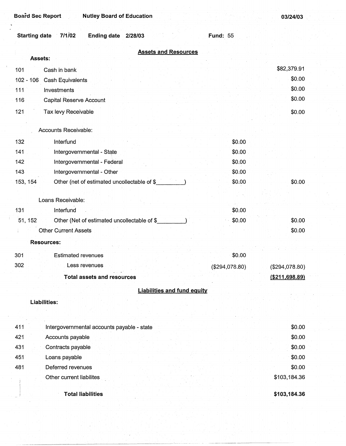**03/24/03** 

| 7/1/02<br><b>Starting date</b><br>Ending date 2/28/03   | <b>Fund: 55</b> |                |
|---------------------------------------------------------|-----------------|----------------|
| <b>Assets and Resources</b>                             |                 |                |
| <b>Assets:</b>                                          |                 | \$82,379.91    |
| Cash in bank<br>101                                     |                 | \$0.00         |
| $102 - 106$<br>Cash Equivalents                         |                 | \$0.00         |
| 111<br>Investments                                      |                 | \$0.00         |
| Capital Reserve Account<br>116                          |                 |                |
| 121<br>Tax levy Receivable                              |                 | \$0.00         |
| Accounts Receivable:                                    |                 |                |
| 132<br>Interfund                                        | \$0.00          |                |
| 141<br>Intergovernmental - State                        | \$0.00          |                |
| 142<br>Intergovernmental - Federal                      | \$0.00          |                |
| 143<br>Intergovernmental - Other                        | \$0.00          |                |
| 153, 154<br>Other (net of estimated uncollectable of \$ | \$0.00          | \$0.00         |
|                                                         |                 |                |
| Loans Receivable:                                       |                 |                |
| Interfund<br>131                                        | \$0.00          |                |
| Other (Net of estimated uncollectable of \$<br>51, 152  | \$0.00          | \$0.00         |
| <b>Other Current Assets</b>                             |                 | \$0.00         |
| <b>Resources:</b>                                       |                 |                |
| 301<br><b>Estimated revenues</b>                        | \$0.00          |                |
| 302<br>Less revenues                                    | (\$294,078.80)  | (\$294,078.80) |
| <b>Total assets and resources</b>                       |                 | (\$211,698.89) |
| <b>Liabilities and fund equity</b>                      |                 |                |
| Liabilities:                                            |                 |                |
|                                                         |                 |                |
| 411<br>Intergovernmental accounts payable - state       |                 | \$0.00         |
| 421<br>Accounts payable                                 |                 | \$0.00         |
| 431<br>Contracts payable                                |                 | \$0.00         |
| 451<br>Loans payable                                    |                 | \$0.00         |
| Deferred revenues<br>481                                |                 | \$0.00         |
| Other current liabilites                                |                 | \$103,184.36   |
| <b>Total liabilities</b>                                |                 | \$103,184.36   |

--- ·---···--------~~~~~